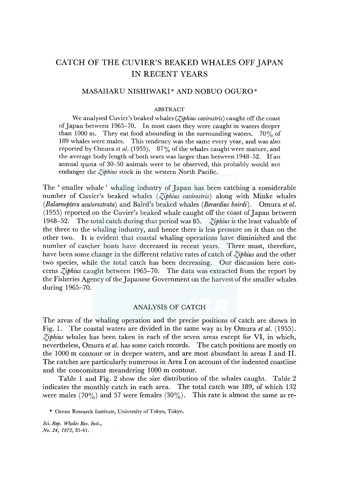# CATCH OF THE CUVIER'S BEAKED WHALES OFF JAPAN IN RECENT YEARS

# MASAHARU NISHIWAKI\* AND NOBUO OGURO\*

#### ABSTRACT

We analysed Cuvier's beaked whales (*Ziphius cavirostris*) caught off the coast of Japan between 1965-70. In most cases they were caught in waters deeper than 1000 m. They eat food abounding in the surrounding waters.  $70\%$  of 189 whales were males. This tendency was the same every year, and was also reported by Omura *et al.* (1955). 87% of the whales caught were mature, and the average body length of both sexes was larger than between 1948-52. If an annual quota of 30-50 animals were to be observed, this probably would not endanger the *Ziphius* stock in the western North Pacific.

The 'smaller whale ' whaling industry of Japan has been catching a considerable number of Cuvier's beaked whales *(Ziphius cavirostris)* along with Minke whales *(Balaenoptera acutorostrata)* and Baird's beaked whales *(Berardius bairdi).* Omura *et al.*  (1955) reported on the Cuvier's beaked whale caught off the coast of Japan between 1948-52. The total catch during that period was 85. *Ziphius* is the least valuable of the three to the whaling industry, and hence there is less pressure on it than on the other two. It is evident that coastal whaling operations have diminished and the number of catcher boats have decreased in recent years. There must, therefore, have been some change in the different relative rates of catch of *Ziphius* and the other two species, while the total catch has been decreasing. Our discussion here concerns *Ziphius* caught between 1965-70. The data was extracted from the report by the Fisheries Agency of the Japanese Government on the harvest of the smaller whales during 1965-70.

## ANALYSIS OF CATCH

The areas of the whaling operation and the precise positions of catch are shown in Fig. 1. The coastal waters are divided in the same way as by Omura *et al.* (1955). *Ziphius* whales has been taken in each of the seven areas except for VI, in which, nevertheless, Omura *et al.* has some catch records. The catch positions are mostly on the 1000 m contour or in deeper waters, and are most abundant in areas I and II. The catches are particularly numerous in Area I on account of the indented coastline and the concomitant meandering 1000 m contour.

Table 1 and Fig. 2 show the size distribution of the whales caught. Table 2 indicates the monthly catch in each area. The total catch was 189, of which 132 were males  $(70\%)$  and 57 were females  $(30\%)$ . This rate is almost the same as re-

\* Ocean Research Institute, University of Tokyo, Tokyo.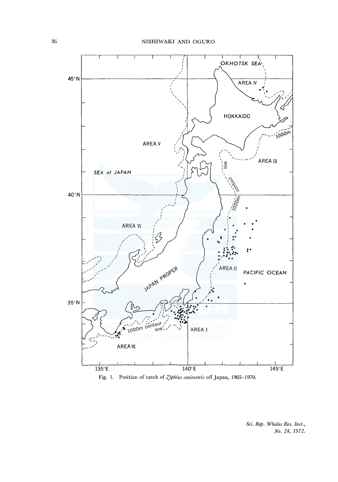

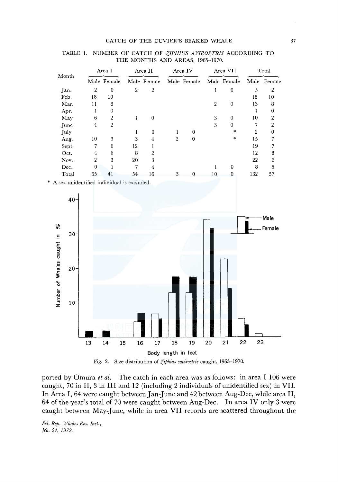#### CATCH OF THE CUVIER'S BEAKED WHALE 37

|       |          |                |                |                |         | TABLE I. NOMBER OF CATCH OF ZITHIOS AVIROSTRIS ACCORDING TO<br>THE MONTHS AND AREAS, 1965-1970. |                |             |       |             |
|-------|----------|----------------|----------------|----------------|---------|-------------------------------------------------------------------------------------------------|----------------|-------------|-------|-------------|
| Month | Area I   |                | Area II        |                | Area IV |                                                                                                 | Area VII       |             | Total |             |
|       |          | Male Female    |                | Male Female    |         | Male Female                                                                                     |                | Male Female |       | Male Female |
| Jan.  | 2        | 0              | $\overline{2}$ | $\overline{2}$ |         |                                                                                                 |                | $\bf{0}$    | 5     | 2           |
| Feb.  | 18       | 10             |                |                |         |                                                                                                 |                |             | 18    | 10          |
| Mar.  | 11       | 8              |                |                |         |                                                                                                 | $\overline{2}$ | 0           | 13    | 8           |
| Apr.  |          | 0              |                |                |         |                                                                                                 |                |             |       | 0           |
| May   | 6        | $\overline{2}$ |                | $\bf{0}$       |         |                                                                                                 | 3              | $\Omega$    | 10    | 2           |
| June  | 4        | 2              |                |                |         |                                                                                                 | 3              | $\Omega$    |       | 2           |
| July  |          |                |                | $\bf{0}$       |         | $\bf{0}$                                                                                        |                | $\ast$      | 2     | 0           |
| Aug.  | 10       | 3              | 3              | 4              | 2       | $\bf{0}$                                                                                        |                | *           | 15    |             |
| Sept. | 7        | 6              | 12             |                |         |                                                                                                 |                |             | 19    |             |
| Oct.  | 4        | 6              | 8              | 2              |         |                                                                                                 |                |             | 12    | 8           |
| Nov.  | 2        | 3              | 20             | 3              |         |                                                                                                 |                |             | 22    | 6           |
| Dec.  | $\Omega$ |                | 7              | 4              |         |                                                                                                 |                | $\Omega$    | 8     | 5           |
| Total | 65       | 41             | 54             | 16             | 3       | 0                                                                                               | 10             | 0           | 132   | 57          |

# TABLE I. NUMBER OF CATCH OF *Z,IPHIUS AVIROSTRIS* ACCORDING TO

A sex unidentified individual is excluded.





ported by Omura *et al.* The catch in each area was as follows: in area I 106 were caught, 70 in II, 3 in III and 12 (including 2 individuals of unidentified sex) in VII. In Area I, 64 were caught between Jan-June and 42 between Aug-Dec, while area II, 64 of the year's total of 70 were caught between Aug-Dec. In area IV only 3 were caught between May-June, while in area VII records are scattered throughout the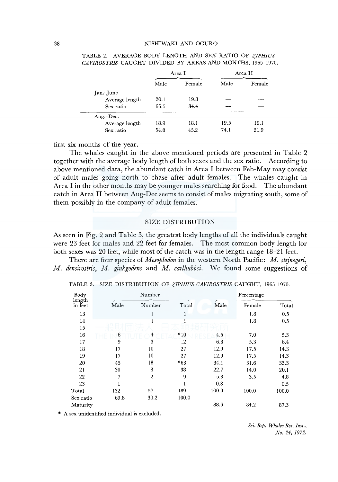#### 38 NISHIWAKI AND OGURO

|                |      | Area I | Area II |        |  |
|----------------|------|--------|---------|--------|--|
|                | Male | Female | Male    | Female |  |
| $Jan$ -June    |      |        |         |        |  |
| Average length | 20.1 | 19.8   |         |        |  |
| Sex ratio      | 65.5 | 34.4   |         |        |  |
| Aug.-Dec.      |      |        |         |        |  |
| Average length | 18.9 | 18.1   | 19.5    | 19.1   |  |
| Sex ratio      | 54.8 | 45.2   | 74.1    | 21.9   |  |

#### TABLE 2. AVERAGE BODY LENGTH AND SEX RATIO OF *Z/PHIUS CAVIROSTRIS* CAUGHT DIVIDED BY AREAS AND MONTHS, 1965-1970.

first six months of the year.

The whales caught in the above mentioned periods are presented in Table 2 together with the average body length of both sexes and the sex ratio. According to above mentioned data, the abundant catch in Area I between Feb-May may consist of adult males going north to chase after adult females. The whales caught in Area I in the other months may be younger males searching for food. The abundant catch in Area II between Aug-Dec seems to consist of males migrating south, some of them possibly in the company of adult females.

## SIZE DISTRIBUTION

As seen in Fig. 2 and Table 3, the greatest body lengths of all the individuals caught were 23 feet for males and 22 feet for females. The most common body length for both sexes was 20 feet, while most of the catch was in the length range 18-21 feet.

There are four species of *Mesoplodon* in the western North Pacific: *M. stejnegeri, M. densirostris, M. ginkgodens* and *M. carlhubbsi.* We found some suggestions of

| Body              |      | Number         |       | Percentage |        |       |  |  |
|-------------------|------|----------------|-------|------------|--------|-------|--|--|
| length<br>in feet | Male | Number         | Total | Male       | Female | Total |  |  |
| 13                |      |                |       |            | 1.8    | 0.5   |  |  |
| 14                |      |                |       |            | 1.8    | 0.5   |  |  |
| 15                |      |                |       |            |        |       |  |  |
| 16                | 6    | 4              | $*10$ | 4.5        | 7.0    | 5.3   |  |  |
| 17                | 9    | 3              | 12    | 6.8        | 5.3    | 6.4   |  |  |
| 18                | 17   | 10             | 27    | 12.9       | 17.5   | 14.3  |  |  |
| 19                | 17   | 10             | 27    | 12.9       | 17.5   | 14.3  |  |  |
| 20                | 45   | 18             | $*63$ | 34.1       | 31.6   | 33.3  |  |  |
| 21                | 30   | 8              | 38    | 22.7       | 14.0   | 20.1  |  |  |
| 22                | 7    | $\overline{2}$ | 9     | 5.3        | 3.5    | 4.8   |  |  |
| 23                |      |                |       | 0.8        |        | 0.5   |  |  |
| Total             | 132  | 57             | 189   | 100.0      | 100.0  | 100.0 |  |  |
| Sex ratio         | 69.8 | 30.2           | 100.0 |            |        |       |  |  |
| Maturity          |      |                |       | 88.6       | 84.2   | 87.3  |  |  |

TABLE 3. SIZE DISTRIBUTION OF *Z,IPHIUS CAVIROSTRIS* CAUGHT, 1965-1970.

\* A sex unidentified individual is excluded.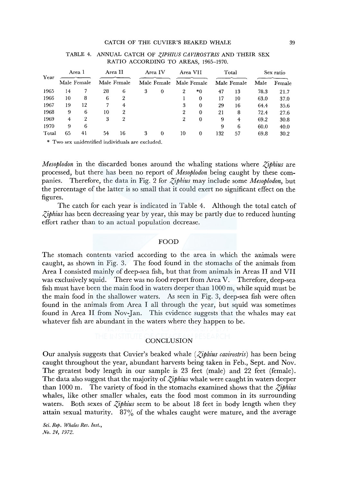#### CATCH OF THE CUVIER'S BEAKED WHALE 39

|       |                       | TABLE I. ANNOAL CATCH OF ZH HIDS CAVIROSTINS AND THEIR SEA |                        |                | RATIO ACCORDING TO AREAS, 1965-1970. |          |                         |          |                      |    |           |        |
|-------|-----------------------|------------------------------------------------------------|------------------------|----------------|--------------------------------------|----------|-------------------------|----------|----------------------|----|-----------|--------|
| Year  | Area 1<br>Male Female |                                                            | Area II<br>Male Female |                | Area IV<br>Male Female               |          | Area VII<br>Male Female |          | Total<br>Male Female |    | Sex ratio |        |
|       |                       |                                                            |                        |                |                                      |          |                         |          |                      |    | Male      | Female |
| 1965  | 14                    |                                                            | 28                     | 6              | 3                                    | $\bf{0}$ | 2                       | $*0$     | 47                   | 13 | 78.3      | 21.7   |
| 1966  | 10                    | 8                                                          | 6                      | 2              |                                      |          |                         | $\theta$ | 17                   | 10 | 63.0      | 37.0   |
| 1967  | 19                    | 12                                                         | 7                      | 4              |                                      |          | 3                       | $\Omega$ | 29                   | 16 | 64.4      | 35.6   |
| 1968  | 9                     | 6                                                          | 10                     | 2              |                                      |          | $\overline{2}$          | $\theta$ | 21                   | 8  | 72.4      | 27.6   |
| 1969  | 4                     | $\overline{2}$                                             | 3                      | $\overline{2}$ |                                      |          | 2                       | $\bf{0}$ | 9                    | 4  | 69.2      | 30.8   |
| 1970  | 9                     | 6                                                          |                        |                |                                      |          |                         |          | 9                    | 6  | 60.0      | 40.0   |
| Total | 65                    | 41                                                         | 54                     | 16             | 3                                    | $\theta$ | 10                      | 0        | 132                  | 57 | 69.8      | 30.2   |

# TABLE 4. ANNUAL CATCH OF *Z,IPHIUS CAVIROSTRIS* AND THEIR SEX

\* Two sex unidentified individuals are excluded.

*Mesoplodon* in the discarded bones around the whaling stations where *Ziphius* are processed, but there has been no report of *Mesoplodon* being caught by these companies. Therefore, the data in Fig. 2 for *Ziphius* may include some *Mesoplodon*, but the percentage of the latter is so small that it could exert no significant effect on the figures.

The catch for each year is indicated in Table 4. Although the total catch of  $\zeta$ *iphius* has been decreasing year by year, this may be partly due to reduced hunting effort rather than to an actual population decrease.

#### FOOD

The stomach contents varied according to the area in which the animals were caught, as shown in Fig. 3. The food found in the stomachs of the animals from Area I consisted mainly of deep-sea fish, but that from animals in Areas II and VII was exclusively squid. There was no food report from Area V. Therefore, deep-sea fish must have been the main food in waters deeper than 1 OOO m, while squid must be the main food in the shallower waters. As seen in Fig. 3, deep-sea fish were often found in the animals from Area I all through the year, but squid was sometimes found in Area II from Nov-Jan. This evidence suggests that the whales may eat whatever fish are abundant in the waters where they happen to be.

# **CONCLUSION**

Our analysis suggests that Cuvier's beaked whale *(Ziphius cavirostris)* has been being caught throughout the year, abundant harvests being taken in Feb., Sept. and Nov. The greatest body length in our sample is 23 feet (male) and 22 feet (female). The data also suggest that the majority of *Ziphius* whale were caught in waters deeper than 1000 m. The variety of food in the stomachs examined shows that the *Ziphius* whales, like other smaller whales, eats the food most common in its surrounding waters. Both sexes of *Ziphius* seem to be about 18 feet in body length when they attain sexual maturity.  $87\%$  of the whales caught were mature, and the average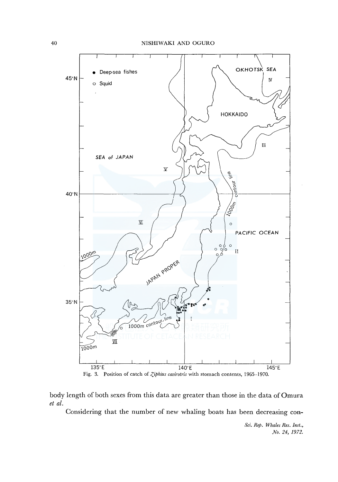

body length of both sexes from this data are greater than those in the data of Omura *et al.* 

Considering that the number of new whaling boats has been decreasing con-